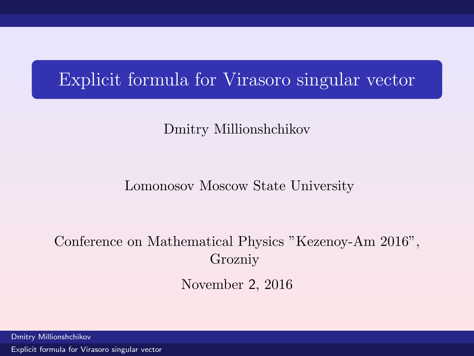# Explicit formula for Virasoro singular vector

## Dmitry Millionshchikov

### Lomonosov Moscow State University

# Conference on Mathematical Physics "Kezenoy-Am 2016", Grozniy

<span id="page-0-0"></span>November 2, 2016

Dmitry Millionshchikov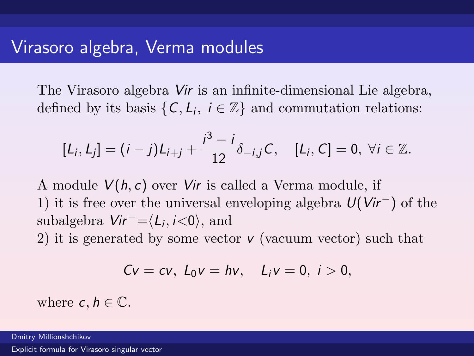The Virasoro algebra Vir is an infinite-dimensional Lie algebra, defined by its basis  $\{C, L_i, i \in \mathbb{Z}\}\$  and commutation relations:

$$
[L_i, L_j] = (i - j)L_{i+j} + \frac{i^3 - i}{12}\delta_{-i,j}C, \quad [L_i, C] = 0, \ \forall i \in \mathbb{Z}.
$$

A module  $V(h, c)$  over Vir is called a Verma module, if 1) it is free over the universal enveloping algebra  $U(Vir^-)$  of the subalgebra  $Vir^- = \langle L_i, i \langle 0 \rangle$ , and 2) it is generated by some vector  $\nu$  (vacuum vector) such that

$$
Cv=cv, L_0v=hv, L_iv=0, i>0,
$$

where  $c, h \in \mathbb{C}$ .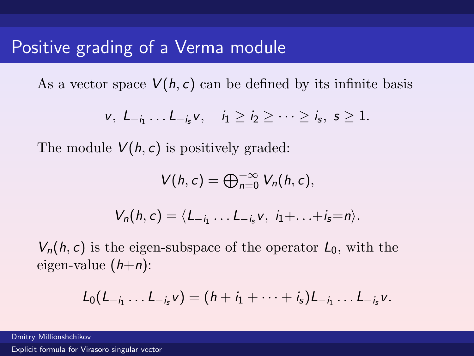# Positive grading of a Verma module

As a vector space  $V(h, c)$  can be defined by its infinite basis

$$
v, L_{-i_1} \ldots L_{-i_s} v, \quad i_1 \geq i_2 \geq \cdots \geq i_s, s \geq 1.
$$

The module  $V(h, c)$  is positively graded:

$$
V(h,c)=\bigoplus_{n=0}^{+\infty}V_n(h,c),
$$

$$
V_n(h,c)=\langle L_{-i_1}\ldots L_{-i_s}v, i_1+\ldots+i_s=n\rangle.
$$

 $V_n(h, c)$  is the eigen-subspace of the operator  $L_0$ , with the eigen-value  $(h+n)$ :

$$
L_0(L_{-i_1}\ldots L_{-i_s}v)=(h+i_1+\cdots+i_s)L_{-i_1}\ldots L_{-i_s}v.
$$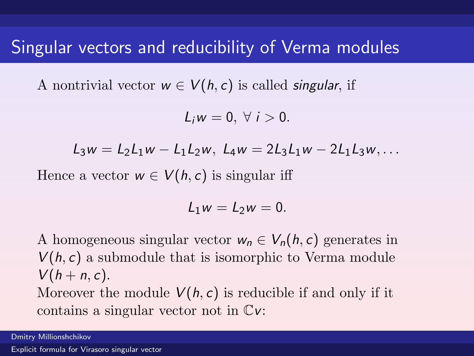# Singular vectors and reducibility of Verma modules

A nontrivial vector  $w \in V(h, c)$  is called *singular*, if

$$
L_i w = 0, \ \forall \ i > 0.
$$

$$
L_3w = L_2L_1w - L_1L_2w, L_4w = 2L_3L_1w - 2L_1L_3w, \ldots
$$

Hence a vector  $w \in V(h, c)$  is singular iff

$$
L_1w=L_2w=0.
$$

A homogeneous singular vector  $w_n \in V_n(h, c)$  generates in  $V(h, c)$  a submodule that is isomorphic to Verma module  $V(h+n, c)$ . Moreover the module  $V(h, c)$  is reducible if and only if it contains a singular vector not in Cv:

Dmitry Millionshchikov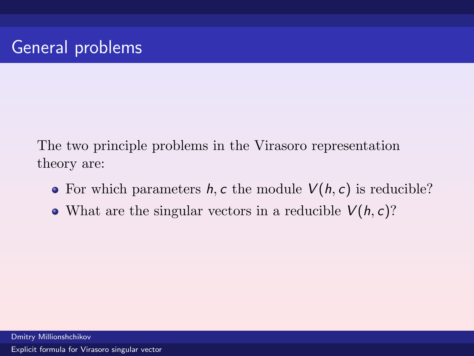The two principle problems in the Virasoro representation theory are:

- For which parameters  $h, c$  the module  $V(h, c)$  is reducible?
- What are the singular vectors in a reducible  $V(h, c)$ ?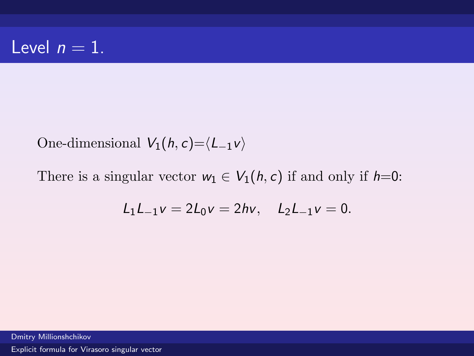One-dimensional  $V_1(h, c) = \langle L_{-1}v \rangle$ 

There is a singular vector  $w_1 \in V_1(h, c)$  if and only if  $h=0$ :

$$
L_1L_{-1}v = 2L_0v = 2hv, \quad L_2L_{-1}v = 0.
$$

Dmitry Millionshchikov [Explicit formula for Virasoro singular vector](#page-0-0)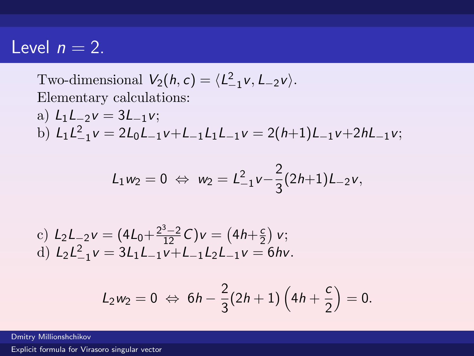## Level  $n = 2$ .

Two-dimensional  $V_2(h, c) = \langle L_{-1}^2 v, L_{-2}v \rangle$ . Elementary calculations:

a) 
$$
L_1L_{-2}v = 3L_{-1}v
$$
;  
b)  $L_1L_{-1}^2v = 2L_0L_{-1}v + L_{-1}L_1L_{-1}v = 2(h+1)L_{-1}v + 2hL_{-1}v$ ;

$$
L_1w_2=0 \Leftrightarrow w_2=L_{-1}^2v-\frac{2}{3}(2h+1)L_{-2}v,
$$

c)  $L_2 L_{-2} v = (4L_0 + \frac{2^3 - 2}{12}C)v = (4h + \frac{c}{2})$  $\frac{c}{2}$ ) v; d)  $L_2 L_{-1}^2 v = 3L_1 L_{-1} v + L_{-1} L_2 L_{-1} v = 6 h v$ .

$$
L_2w_2 = 0 \Leftrightarrow 6h - \frac{2}{3}(2h+1)\left(4h + \frac{c}{2}\right) = 0.
$$

Dmitry Millionshchikov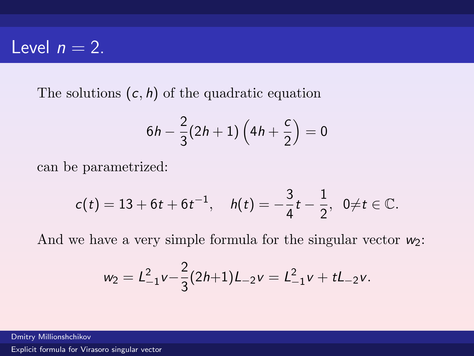# Level  $n = 2$ .

The solutions  $(c, h)$  of the quadratic equation

$$
6h - \frac{2}{3}(2h + 1)\left(4h + \frac{c}{2}\right) = 0
$$

can be parametrized:

$$
c(t) = 13 + 6t + 6t^{-1}, \quad h(t) = -\frac{3}{4}t - \frac{1}{2}, \ \ 0 \neq t \in \mathbb{C}.
$$

And we have a very simple formula for the singular vector  $w_2$ :

$$
w_2 = L_{-1}^2 v - \frac{2}{3} (2h+1) L_{-2} v = L_{-1}^2 v + tL_{-2} v.
$$

Dmitry Millionshchikov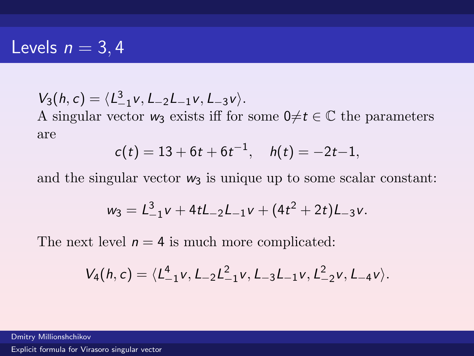## Levels  $n = 3, 4$

$$
V_3(h,c)=\langle L_{-1}^3v,L_{-2}L_{-1}v,L_{-3}v\rangle.
$$

A singular vector  $w_3$  exists iff for some  $0 \neq t \in \mathbb{C}$  the parameters are

$$
c(t) = 13 + 6t + 6t^{-1}, \quad h(t) = -2t - 1,
$$

and the singular vector  $w_3$  is unique up to some scalar constant:

$$
w_3 = L_{-1}^3 v + 4tL_{-2}L_{-1}v + (4t^2 + 2t)L_{-3}v.
$$

The next level  $n = 4$  is much more complicated:

$$
V_4(h,c) = \langle L_{-1}^4 v, L_{-2} L_{-1}^2 v, L_{-3} L_{-1} v, L_{-2}^2 v, L_{-4} v \rangle.
$$

Dmitry Millionshchikov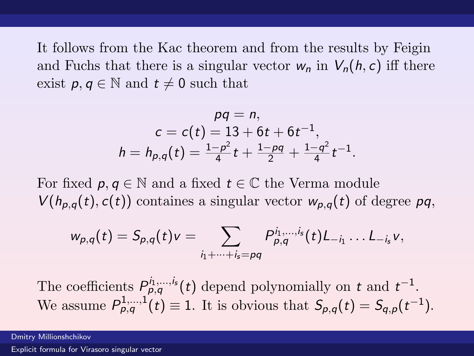It follows from the Kac theorem and from the results by Feigin and Fuchs that there is a singular vector  $w_n$  in  $V_n(h, c)$  iff there exist  $p, q \in \mathbb{N}$  and  $t \neq 0$  such that

$$
pq = n,
$$
  
\n
$$
c = c(t) = 13 + 6t + 6t^{-1},
$$
  
\n
$$
h = h_{p,q}(t) = \frac{1-p^2}{4}t + \frac{1-pq}{2} + \frac{1-q^2}{4}t^{-1}.
$$

For fixed  $p, q \in \mathbb{N}$  and a fixed  $t \in \mathbb{C}$  the Verma module  $V(h_{p,q}(t), c(t))$  containes a singular vector  $w_{p,q}(t)$  of degree pq,

$$
w_{p,q}(t) = S_{p,q}(t)v = \sum_{i_1 + \cdots + i_s = pq} P_{p,q}^{i_1, \ldots, i_s}(t)L_{-i_1} \ldots L_{-i_s}v,
$$

The coefficients  $P_{p,q}^{i_1,\dots,i_s}(t)$  depend polynomially on t and  $t^{-1}$ . We assume  $P_{p,q}^{1,\dots,1}(t) \equiv 1$ . It is obvious that  $S_{p,q}(t) = S_{q,p}(t^{-1})$ .

Dmitry Millionshchikov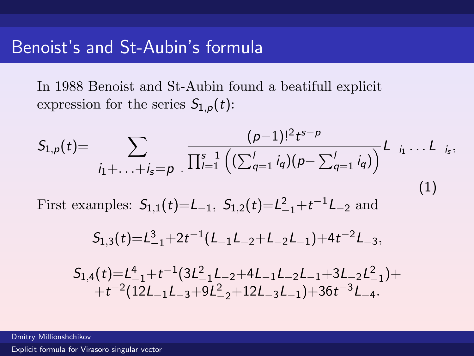In 1988 Benoist and St-Aubin found a beatifull explicit expression for the series  $S_{1,p}(t)$ :

$$
S_{1,p}(t) = \sum_{i_1 + \ldots + i_s = p} \frac{(p-1)!^2 t^{s-p}}{\prod_{l=1}^{s-1} \left( \left( \sum_{q=1}^l i_q \right) \left( p - \sum_{q=1}^l i_q \right) \right)} L_{-i_1} \ldots L_{-i_s},
$$
\nFirst examples:  $S_{1,1}(t) = L_{-1}, S_{1,2}(t) = L_{-1}^2 + t^{-1} L_{-2}$  and\n
$$
S_{1,3}(t) = L_{-1}^3 + 2t^{-1} (L_{-1}L_{-2} + L_{-2}L_{-1}) + 4t^{-2} L_{-3},
$$
\n(1)

 $S_{1,4}(t) = L_{-1}^4 + t^{-1} (3L_{-1}^2L_{-2} + 4L_{-1}L_{-2}L_{-1} + 3L_{-2}L_{-1}^2) +$  $+t^{-2}(12L_{-1}L_{-3}+9L_{-2}^2+12L_{-3}L_{-1})+36t^{-3}L_{-4}.$ 

Dmitry Millionshchikov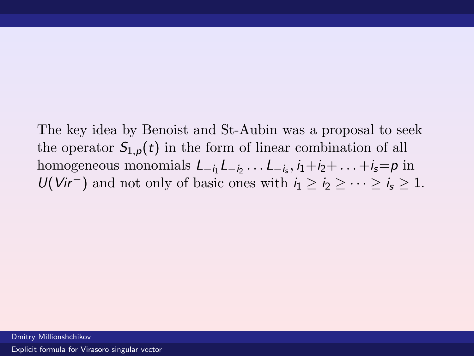The key idea by Benoist and St-Aubin was a proposal to seek the operator  $S_{1,p}(t)$  in the form of linear combination of all homogeneous monomials  $L_{-i_1}L_{-i_2} \ldots L_{-i_s}$ ,  $i_1+i_2+\ldots+i_s=p$  in  $U(Vir^-)$  and not only of basic ones with  $i_1 > i_2 > \cdots > i_s > 1$ .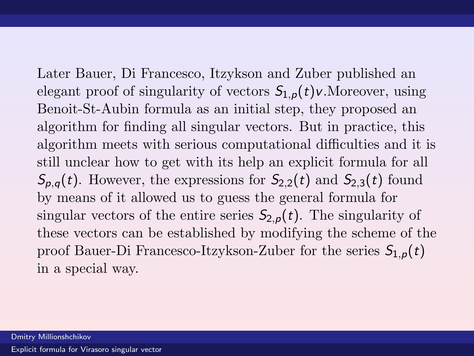Later Bauer, Di Francesco, Itzykson and Zuber published an elegant proof of singularity of vectors  $S_{1,p}(t)v$ . Moreover, using Benoit-St-Aubin formula as an initial step, they proposed an algorithm for finding all singular vectors. But in practice, this algorithm meets with serious computational difficulties and it is still unclear how to get with its help an explicit formula for all  $S_{p,q}(t)$ . However, the expressions for  $S_{2,2}(t)$  and  $S_{2,3}(t)$  found by means of it allowed us to guess the general formula for singular vectors of the entire series  $S_{2,p}(t)$ . The singularity of these vectors can be established by modifying the scheme of the proof Bauer-Di Francesco-Itzykson-Zuber for the series  $S_{1,p}(t)$ in a special way.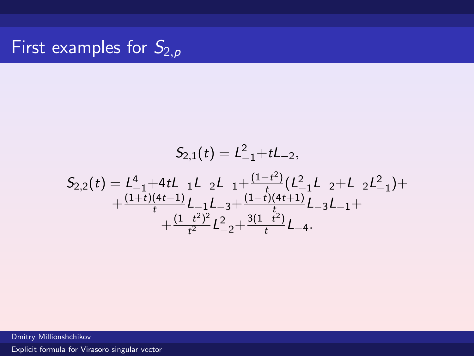# First examples for  $S_{2,p}$

$$
S_{2,1}(t) = L_{-1}^{2} + tL_{-2},
$$
\n
$$
S_{2,2}(t) = L_{-1}^{4} + 4tL_{-1}L_{-2}L_{-1} + \frac{(1-t^{2})}{t}(L_{-1}^{2}L_{-2} + L_{-2}L_{-1}^{2}) + \frac{(1+t)(4t-1)}{t}L_{-3} + \frac{(1-t)(4t+1)}{t}L_{-3}L_{-1} + \frac{(1-t^{2})^{2}}{t^{2}}L_{-2}^{2} + \frac{3(1-t^{2})}{t}L_{-4}.
$$

Dmitry Millionshchikov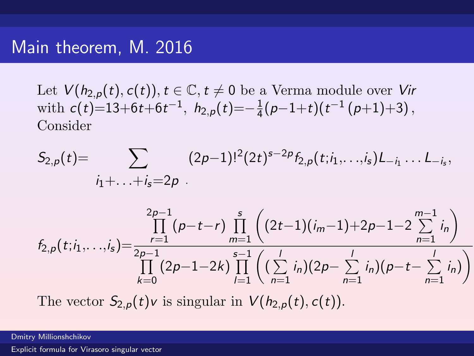## Main theorem, M. 2016

Let  $V(h_{2,p}(t), c(t)), t \in \mathbb{C}, t \neq 0$  be a Verma module over Vir with  $c(t)=13+6t+6t^{-1}$ ,  $h_{2,p}(t)=-\frac{1}{4}$  $\frac{1}{4}(p-1+t)(t^{-1}(p+1)+3),$ Consider

$$
S_{2,p}(t)=\sum_{i_1+\ldots+i_s=2p} (2p-1)!^2(2t)^{s-2p}f_{2,p}(t;i_1,\ldots,i_s)L_{-i_1}\ldots L_{-i_s},
$$

$$
f_{2,p}(t;i_1,\ldots,i_s) = \frac{\prod_{r=1}^{2p-1}(p-t-r)\prod_{m=1}^{s}\left((2t-1)(i_m-1)+2p-1-2\sum_{n=1}^{m-1}i_n\right)}{\prod_{k=0}^{1}(2p-1-2k)\prod_{l=1}^{s-1}\left((\sum_{n=1}^{l}i_n)(2p-\sum_{n=1}^{l}i_n)(p-t-\sum_{n=1}^{l}i_n)\right)}
$$

The vector  $S_{2,p}(t)v$  is singular in  $V(h_{2,p}(t), c(t))$ .

Dmitry Millionshchikov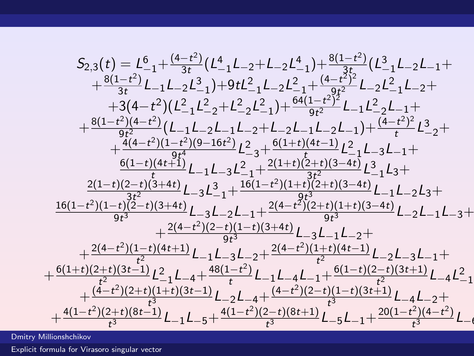$$
S_{2,3}(t) = L_{-1}^{6} + \frac{(4-t^{2})}{3t} (L_{-1}^{4}L_{-2}+L_{-2}L_{-1}^{4}) + \frac{8(1-t^{2})}{3t} (L_{-1}^{3}L_{-2}L_{-1} + \frac{8(1-t^{2})}{3t}L_{-1}L_{-2}L_{-1}^{3}) + 9tL_{-1}^{2}L_{-1}L_{-2}L_{-1}^{2} + \frac{(4-t^{2})^{2}}{9t^{2}}L_{-2}L_{-1}^{2}L_{-2}L_{-1}^{4} + \frac{8(1-t^{2})(4-t^{2})}{9t^{2}}(L_{-1}L_{-2}+L_{-2}L_{-1}) + \frac{(4-t^{2})^{2}}{9t^{2}}L_{-1}L_{-2}^{2}L_{-1} + \frac{8(1-t^{2})(4-t^{2})}{9t^{2}}(L_{-1}L_{-2}L_{-1}L_{-2}+L_{-2}L_{-1}L_{-2}L_{-1}) + \frac{(4-t^{2})^{2}}{t}L_{-2}^{3} + \frac{4(4-t^{2})(1-t^{2})(9-16t^{2})}{9t^{2}}L_{-3}^{2} + \frac{6(1+t)(4t-1)}{3t^{2}}L_{-1}^{2}L_{-3}L_{-1} + \frac{6(1-t)(4t+1)}{t}L_{-1}L_{-3}L_{-1}^{2} + \frac{2(1+t)(2+t)(3-4t)}{3t^{2}}L_{-1}^{3}L_{3} + \frac{2(1-t)(2-t)(3+4t)}{3t^{2}}L_{-1}L_{-3}L_{-2}^{3} + \frac{16(1-t^{2})(2-t)(1+t)(3-4t)}{9t^{3}}L_{-1}L_{-2}L_{3} + \frac{2(4-t^{2})(2-t)(1-t)(3+4t)}{9t^{3}}L_{-3}L_{-1}L_{-2} + \frac{2(4-t^{2})(2-t)(1-t)(3+4t)}{9t^{3}}L_{-3}L_{-1}L_{-2} + \frac{4(4-t^{2})(2-t)(1-t)(3+4t)}{t^{2}}L_{-3}L_{-1}L_{-2} + \frac{6(1+t)(2+t)(3t-1)}{t^{2}}L_{-4}^{2}L_{-4}
$$

Dmitry Millionshchikov

 $+$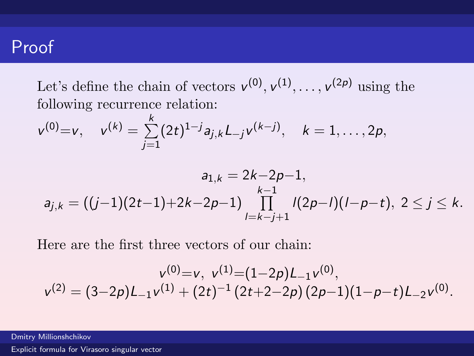# Proof

Let's define the chain of vectors  $v^{(0)}, v^{(1)}, \ldots, v^{(2p)}$  using the following recurrence relation:

$$
v^{(0)}=v
$$
,  $v^{(k)} = \sum_{j=1}^{k} (2t)^{1-j} a_{j,k} L_{-j} v^{(k-j)}$ ,  $k = 1, ..., 2p$ ,

$$
a_{1,k} = 2k-2p-1,
$$
  
\n
$$
a_{j,k} = ((j-1)(2t-1)+2k-2p-1)\prod_{l=k-j+1}^{k-1}l(2p-l)(l-p-t), 2 \le j \le k.
$$

Here are the first three vectors of our chain:

$$
v^{(0)}=v, v^{(1)}=(1-2p)L_{-1}v^{(0)},
$$
  

$$
v^{(2)}=(3-2p)L_{-1}v^{(1)}+(2t)^{-1}(2t+2-2p)(2p-1)(1-p-t)L_{-2}v^{(0)}.
$$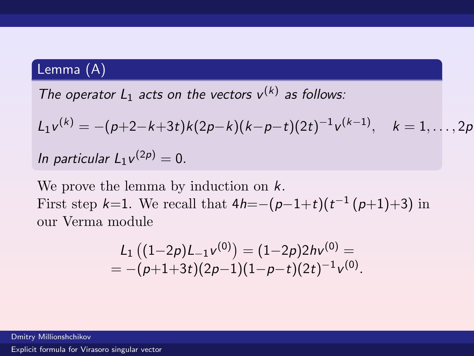## Lemma (A)

The operator  $L_1$  acts on the vectors  $v^{(k)}$  as follows:

$$
L_1v^{(k)} = -(p+2-k+3t)k(2p-k)(k-p-t)(2t)^{-1}v^{(k-1)}, \quad k=1,\ldots,2p
$$

In particular  $L_1 v^{(2p)} = 0$ .

We prove the lemma by induction on  $k$ . First step  $k=1$ . We recall that  $4h=-(p-1+t)(t^{-1}(p+1)+3)$  in our Verma module

$$
L_1 ((1-2p)L_{-1}v^{(0)}) = (1-2p)2hv^{(0)} = - (p+1+3t)(2p-1)(1-p-t)(2t)^{-1}v^{(0)}.
$$

Dmitry Millionshchikov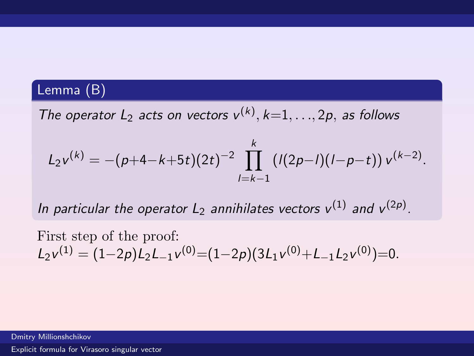## Lemma (B)

The operator  $L_2$  acts on vectors  $v^{(k)}$ ,  $k=1,\ldots,2p$ , as follows

$$
L_2v^{(k)} = -(p+4-k+5t)(2t)^{-2} \prod_{l=k-1}^k (l(2p-l)(l-p-t)) v^{(k-2)}.
$$

In particular the operator  $L_2$  annihilates vectors  $v^{(1)}$  and  $v^{(2p)}$ .

First step of the proof:  $L_2v^{(1)} = (1-2p)L_2L_{-1}v^{(0)} = (1-2p)(3L_1v^{(0)}+L_{-1}L_2v^{(0)}) = 0.$ 

Dmitry Millionshchikov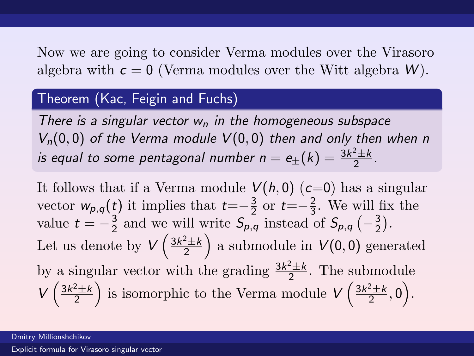Now we are going to consider Verma modules over the Virasoro algebra with  $c = 0$  (Verma modules over the Witt algebra W).

### Theorem (Kac, Feigin and Fuchs)

There is a singular vector  $w_n$  in the homogeneous subspace  $V_n(0,0)$  of the Verma module  $V(0,0)$  then and only then when n is equal to some pentagonal number  $n=e_{\pm}(k)=\frac{3k^2\pm k}{2}$  $\frac{2+k}{2}$ .

It follows that if a Verma module  $V(h, 0)$  ( $c=0$ ) has a singular vector  $w_{p,q}(t)$  it implies that  $t=-\frac{3}{2}$  $rac{3}{2}$  or  $t=-\frac{2}{3}$  $\frac{2}{3}$ . We will fix the value  $t = -\frac{3}{2}$  $\frac{3}{2}$  and we will write  $S_{p,q}$  instead of  $S_{p,q}$   $\left(-\frac{3}{2}\right)$  $\frac{3}{2}$ . Let us denote by  $V\left(\frac{3k^2\pm k}{2}\right)$  $\left(\frac{2+k}{2}\right)$  a submodule in  $V(0,0)$  generated by a singular vector with the grading  $\frac{3k^2 \pm k}{2}$  $\frac{2+k}{2}$ . The submodule  $V\left(\frac{3k^2\pm k}{2}\right)$  $\left(\frac{2+k}{2}\right)$  is isomorphic to the Verma module  $V\left(\frac{3k^2\pm k}{2}\right)$  $\frac{2 \pm k}{2}, 0$ .

Dmitry Millionshchikov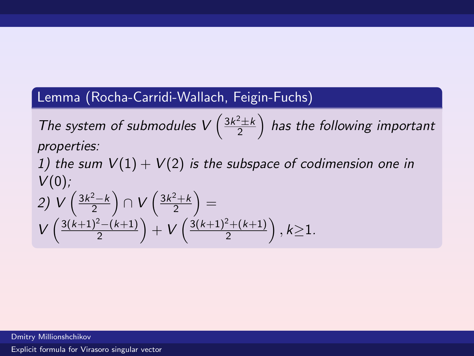### Lemma (Rocha-Carridi-Wallach, Feigin-Fuchs)

The system of submodules  $V\left(\frac{3k^2\pm k}{2}\right)$  $\left(\frac{2\pm k}{2}\right)$  has the following important properties:

1) the sum  $V(1) + V(2)$  is the subspace of codimension one in  $V(0)$ ;

$$
2) V\left(\frac{3k^2-k}{2}\right) \cap V\left(\frac{3k^2+k}{2}\right) =
$$
  
 
$$
V\left(\frac{3(k+1)^2-(k+1)}{2}\right) + V\left(\frac{3(k+1)^2+(k+1)}{2}\right), k \ge 1.
$$

Dmitry Millionshchikov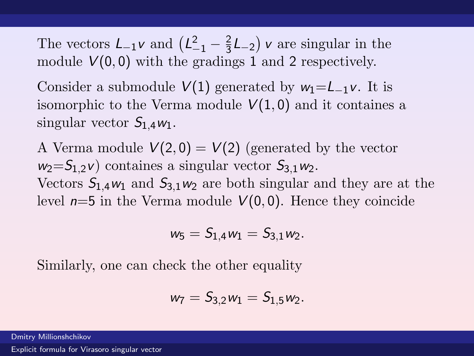The vectors  $L_{-1}v$  and  $\left(L_{-1}^2 - \frac{2}{3}\right)$  $\frac{2}{3}L_{-2}$  v are singular in the module  $V(0,0)$  with the gradings 1 and 2 respectively.

Consider a submodule  $V(1)$  generated by  $w_1 = L_{-1}v$ . It is isomorphic to the Verma module  $V(1, 0)$  and it containes a singular vector  $S_1$   $_4$   $w_1$ .

A Verma module  $V(2,0) = V(2)$  (generated by the vector  $w_2 = S_{1,2}v$  containes a singular vector  $S_{3,1}w_2$ . Vectors  $S_{1,4}w_1$  and  $S_{3,1}w_2$  are both singular and they are at the level  $n=5$  in the Verma module  $V(0,0)$ . Hence they coincide

$$
\mathit{w}_5 = S_{1,4} \mathit{w}_1 = S_{3,1} \mathit{w}_2.
$$

Similarly, one can check the other equality

$$
w_7 = S_{3,2}w_1 = S_{1,5}w_2.
$$

Dmitry Millionshchikov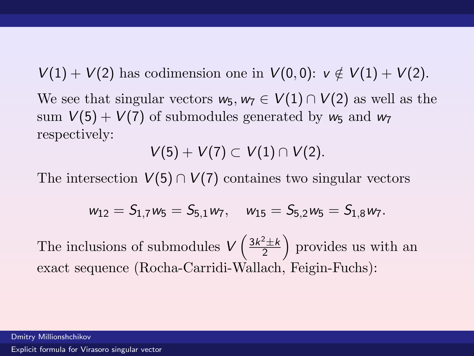$V(1) + V(2)$  has codimension one in  $V(0,0)$ :  $v \notin V(1) + V(2)$ . We see that singular vectors  $w_5, w_7 \in V(1) \cap V(2)$  as well as the sum  $V(5) + V(7)$  of submodules generated by  $w_5$  and  $w_7$ respectively:

 $V(5) + V(7) \subset V(1) \cap V(2)$ .

The intersection  $V(5) \cap V(7)$  containes two singular vectors

$$
w_{12}=S_{1,7}w_5=S_{5,1}w_7,\quad w_{15}=S_{5,2}w_5=S_{1,8}w_7.
$$

The inclusions of submodules  $V\left(\frac{3k^2\pm k}{2}\right)$  $\left(\frac{2+k}{2}\right)$  provides us with an exact sequence (Rocha-Carridi-Wallach, Feigin-Fuchs):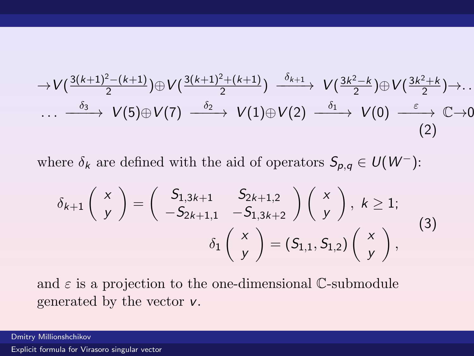<span id="page-23-0"></span>
$$
\rightarrow V\left(\frac{3(k+1)^2-(k+1)}{2}\right)\oplus V\left(\frac{3(k+1)^2+(k+1)}{2}\right) \xrightarrow{\delta_{k+1}} V\left(\frac{3k^2-k}{2}\right)\oplus V\left(\frac{3k^2+k}{2}\right)\rightarrow\ldots
$$

$$
\cdots \xrightarrow{\delta_3} V(5)\oplus V(7) \xrightarrow{\delta_2} V(1)\oplus V(2) \xrightarrow{\delta_1} V(0) \xrightarrow{\varepsilon} \mathbb{C} \rightarrow 0
$$

$$
(2)
$$

where  $\delta_k$  are defined with the aid of operators  $S_{p,q} \in U(W^-)$ :

$$
\delta_{k+1}\left(\begin{array}{c} x \\ y \end{array}\right) = \left(\begin{array}{cc} S_{1,3k+1} & S_{2k+1,2} \\ -S_{2k+1,1} & -S_{1,3k+2} \end{array}\right)\left(\begin{array}{c} x \\ y \end{array}\right), k \ge 1;\\ \delta_1\left(\begin{array}{c} x \\ y \end{array}\right) = (S_{1,1}, S_{1,2})\left(\begin{array}{c} x \\ y \end{array}\right), \tag{3}
$$

and  $\varepsilon$  is a projection to the one-dimensional C-submodule generated by the vector v.

Dmitry Millionshchikov